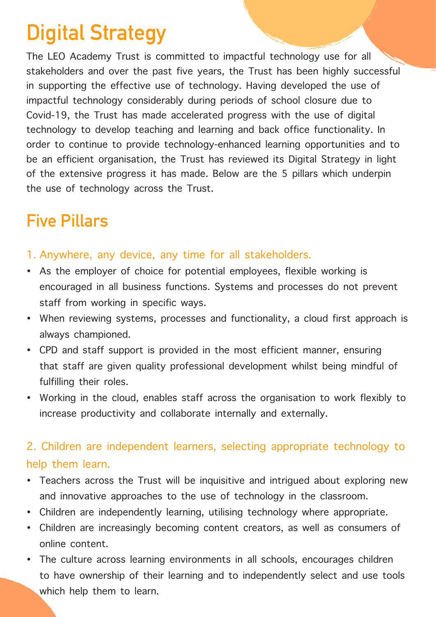# **Digital Strategy**

The LEO Academy Trust is committed to impactful technology use for all stakeholders and over the past five years, the Trust has been highly successful in supporting the effective use of technology. Having developed the use of impactful technology considerably during periods of school closure due to Covid-19, the Trust has made accelerated progress with the use of digital technology to develop teaching and learning and back office functionality. In order to continue to provide technology-enhanced learning opportunities and to be an efficient organisation, the Trust has reviewed its Digital Strategy in light of the extensive progress it has made. Below are the 5 pillars which underpin the use of technology across the Trust.

# **Five Pillars**

- 1. Anywhere, any device, any time for all stakeholders.
- As the employer of choice for potential employees, flexible working is encouraged in all business functions. Systems and processes do not prevent staff from working in specific ways.
- When reviewing systems, processes and functionality, a cloud first approach is always championed.
- CPD and staff support is provided in the most efficient manner, ensuring that staff are given quality professional development whilst being mindful of fulfilling their roles.
- Working in the cloud, enables staff across the organisation to work flexibly to increase productivity and collaborate internally and externally.

## 2. Children are independent learners, selecting appropriate technology to help them learn.

- Teachers across the Trust will be inquisitive and intrigued about exploring new and innovative approaches to the use of technology in the classroom.
- Children are independently learning, utilising technology where appropriate.
- Children are increasingly becoming content creators, as well as consumers of online content.
- The culture across learning environments in all schools, encourages children to have ownership of their learning and to independently select and use tools which help them to learn.